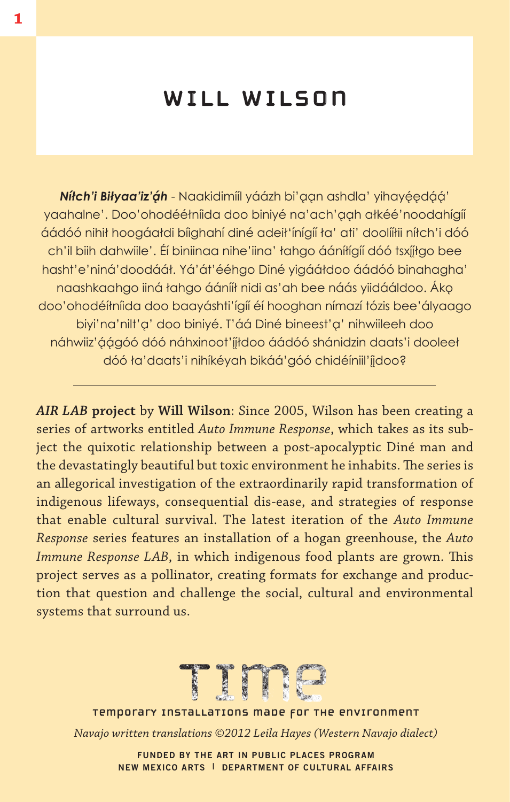### will wilson

**Nítch'i Biłyaa'iz'áh** - Naakidimíil yáázh bi'aan ashdla' yihayéedáá' yaahalne'. Doo'ohodééłníida doo biniyé na'ach'aah ałkéé'noodahígíí áádóó nihił hoogáałdi bíighahí diné adeił'ínígíí ła' ati' doolííłii níłch'i dóó ch'il biih dahwiile'. Éí biniinaa nihe'iina' łahgo ááníłígíí dóó tsxííłgo bee hasht'e'niná'doodááł. Yá'át'ééhgo Diné yigááłdoo áádóó binahagha' naashkaahgo jiná łahgo áánííł nidi as'ah bee náás viidááldoo. Áko doo'ohodéíłníida doo baayáshti'ígíí éí hooghan nímazí tózis bee'ályaago biyi'na'nilt'a' doo biniyé. T'áá Diné bineest'a' nihwiileeh doo náhwiiz'áágóó dóó náhxinoot'íjtdoo áádóó shánidzin daats'i dooleet dóó ła'daats'i nihíkéyah bikáá'góó chidéíniil'jidoo?

*AIR LAB* **project** by **Will Wilson**: Since 2005, Wilson has been creating a series of artworks entitled *Auto Immune Response*, which takes as its subject the quixotic relationship between a post-apocalyptic Diné man and the devastatingly beautiful but toxic environment he inhabits. The series is an allegorical investigation of the extraordinarily rapid transformation of indigenous lifeways, consequential dis-ease, and strategies of response that enable cultural survival. The latest iteration of the *Auto Immune Response* series features an installation of a hogan greenhouse, the *Auto Immune Response LAB*, in which indigenous food plants are grown. This project serves as a pollinator, creating formats for exchange and production that question and challenge the social, cultural and environmental systems that surround us.



temporary installations made for the environment temporary installations made for the environment

*Navajo written translations ©2012 Leila Hayes (Western Navajo dialect)*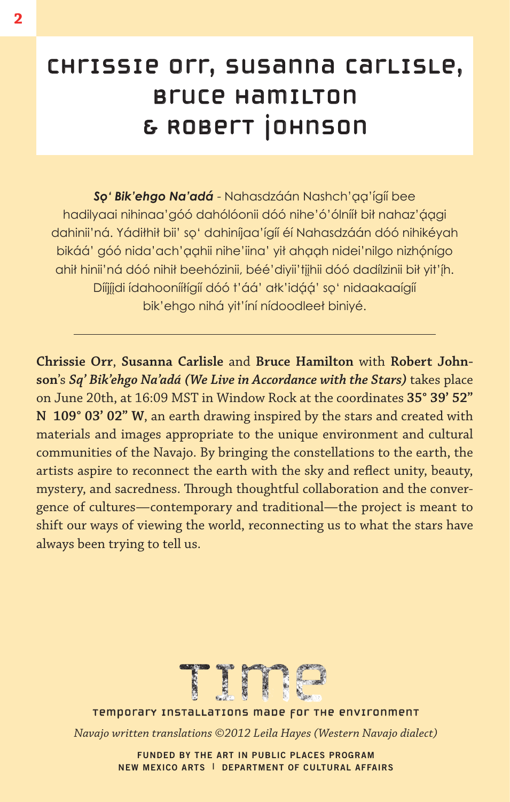# chrissie orr, susanna carlisle, bruce hamilton & Robert Johnson

**So' Bik'ehgo Na'adá** - Nahasdzáán Nashch'aa'ígíí bee hadilyaai nihinaa'góó dahólóonii dóó nihe'ó'ólnííł bił nahaz'ággi dahinii'ná. Yádiłhił bii' soʻ dahiníjaa'ígíí éí Nahasdzáán dóó nihikéyah bikáá' góó nida'ach'aahii nihe'iina' yił ahaah nidei'nilgo nizhónígo ahit hinii'ná dóó nihit beehózinii, béé'diyii'tijhii dóó dadílzinii bit yit'íh. Díijjdi idahooniitigii dóó t'áá' atk'idáá' soʻ nidaakaaigii bik'ehgo nihá yit'íní nídoodleeł biniyé.

**Chrissie Orr**, **Susanna Carlisle** and **Bruce Hamilton** with **Robert Johnson**'s *Sq' Bik'ehgo Na'adá (We Live in Accordance with the Stars)* takes place on June 20th, at 16:09 MST in Window Rock at the coordinates **35° 39' 52" N 109° 03' 02" W**, an earth drawing inspired by the stars and created with materials and images appropriate to the unique environment and cultural communities of the Navajo. By bringing the constellations to the earth, the artists aspire to reconnect the earth with the sky and reflect unity, beauty, mystery, and sacredness. Through thoughtful collaboration and the convergence of cultures—contemporary and traditional—the project is meant to shift our ways of viewing the world, reconnecting us to what the stars have always been trying to tell us.



temporary installations made for the environment temporary installations made for the environment

*Navajo written translations ©2012 Leila Hayes (Western Navajo dialect)*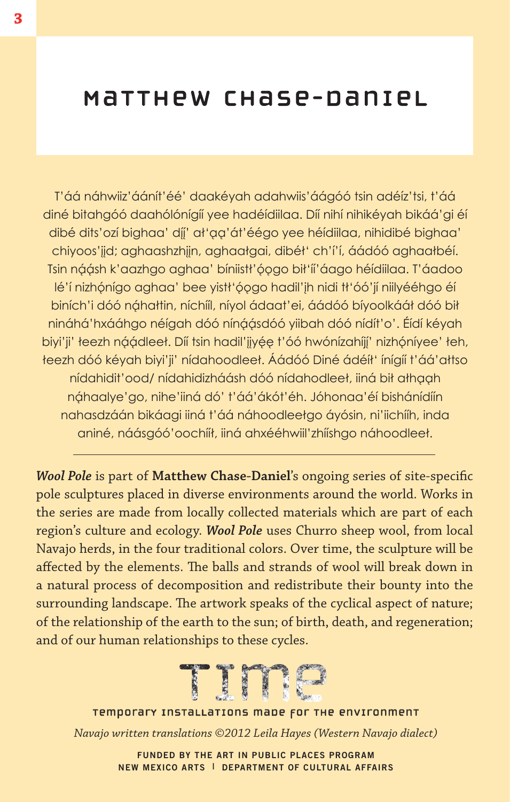# Matthew Chase-Daniel

T'áá náhwiiz'áánít'éé' daakéyah adahwiis'áágóó tsin adéíz'tsi, t'áá diné bitahgóó daahólónígíí yee hadéídiilaa. Díí nihí nihikéyah bikáá'gi éí dibé dits' ozí bighaa' díj' at 'aa' át' éégo yee héídiilaa, nihidibé bighaa' chiyoos'jid; aghaashzhijn, aghaałgai, dibéł' ch'í'í, áádóó aghaałbéí. Tsin náásh k'aazhgo aghaa' bíniistł'óogo bił'íi'áago héídiilaa. T'áadoo lé'í nizhónígo aghaa' bee yistł'óogo hadil'jh nidi tł'óó'jí niilyééhgo éí biních'i dóó náhałtin, níchííl, níyol ádaat'ei, áádóó bíyoolkááł dóó bił nináhá'hxááhgo néígah dóó nínáásdóó yiibah dóó nídít'o'. Éídí kéyah biyi'ji' łeezh náádleeł. Díí tsin hadil'jjyée t'óó hwónízahíjí' nizhóníyee' łeh, teezh dóó kéyah biyi'ji' nídahoodleet. Áádóó Diné ádéíł' ínígíí t'áá'ałtso nídahidit'ood/ nídahidizháásh dóó nídahodleeł, iiná bił ałhaah náhaalye'go, nihe'iiná dó' t'áá'ákót'éh. Jóhonaa'éí bishánídíín nahasdzáán bikáagi iiná t'áá náhoodleełgo áyósin, ni'iichííh, inda aniné, náásgóó'oochííł, iiná ahxééhwiil'zhííshgo náhoodleeł.

*Wool Pole* is part of **Matthew Chase-Daniel**'s ongoing series of site-specific pole sculptures placed in diverse environments around the world. Works in the series are made from locally collected materials which are part of each region's culture and ecology. *Wool Pole* uses Churro sheep wool, from local Navajo herds, in the four traditional colors. Over time, the sculpture will be affected by the elements. The balls and strands of wool will break down in a natural process of decomposition and redistribute their bounty into the surrounding landscape. The artwork speaks of the cyclical aspect of nature; of the relationship of the earth to the sun; of birth, death, and regeneration; and of our human relationships to these cycles.



#### temporary installations made for the environment temporary installations made for the environment

*Navajo written translations ©2012 Leila Hayes (Western Navajo dialect)*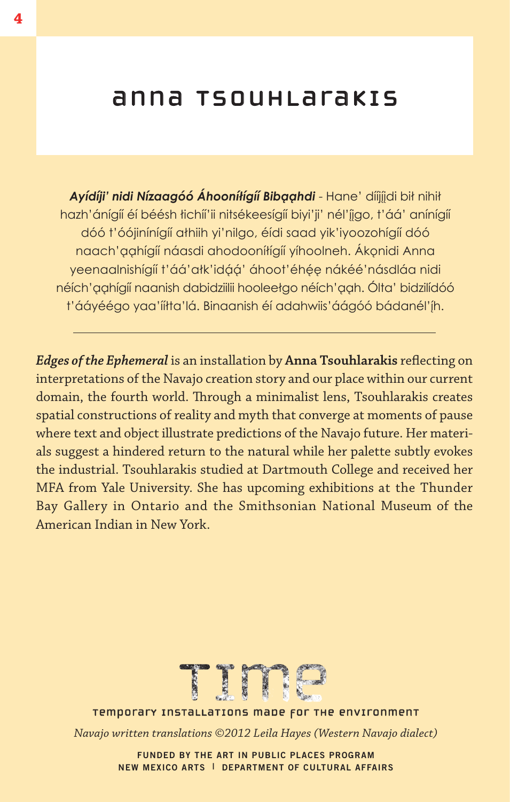#### anna tsouhlarakis

Ayídíji' nidi Nízaagóó Áhooníłígíí Bibaahdi - Hane' díjjjdi bił nihił hazh'ánígíí éí béésh łichíí'ii nitsékeesígíí biyi'ji' nél'įigo, t'áá' anínígíí dóó t'óójinínígíí athiih yi'nilgo, éídi saad yik'iyoozohígíí dóó naach'aahíaíí náasdi ahodooníłíaíí yíhoolneh. Ákonidi Anna yeenaalnishígíí t'áá'ałk'idáá' áhoot'éhée nákéé'násdláa nidi néích' aahígíí naanish dabidziilii hooleełgo néích' aah. Ólta' bidzilídóó t'ááyéégo yaa'ííłta'lá. Binaanish éí adahwiis'áágóó bádanél'íh.

*Edges of the Ephemeral* is an installation by **Anna Tsouhlarakis** reflecting on interpretations of the Navajo creation story and our place within our current domain, the fourth world. Through a minimalist lens, Tsouhlarakis creates spatial constructions of reality and myth that converge at moments of pause where text and object illustrate predictions of the Navajo future. Her materials suggest a hindered return to the natural while her palette subtly evokes the industrial. Tsouhlarakis studied at Dartmouth College and received her MFA from Yale University. She has upcoming exhibitions at the Thunder Bay Gallery in Ontario and the Smithsonian National Museum of the American Indian in New York.



temporary installations made for the environment temporary installations made for the environment

*Navajo written translations ©2012 Leila Hayes (Western Navajo dialect)*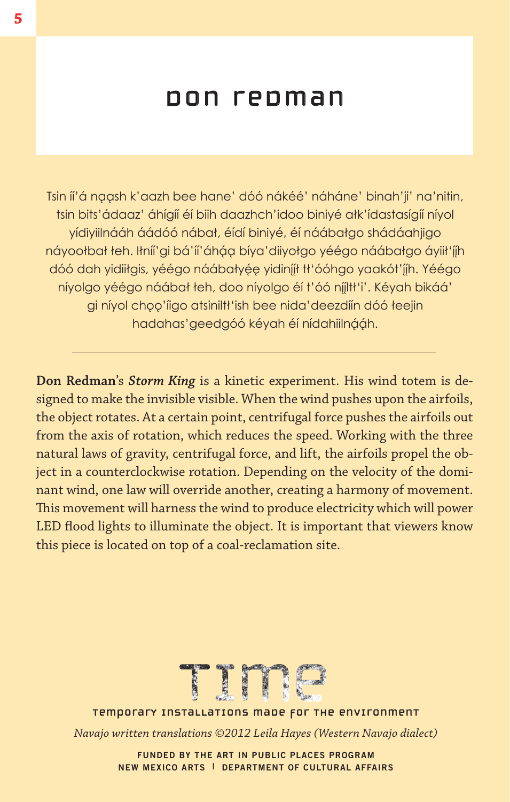# don redman

Tsin íi'á naash k'aazh bee hane' dóó nákéé' náháne' binah'ji' na'nitin, tsin bits'ádaaz' áhígíí éí biih daazhch'idoo biniyé ałk'ídastasígíí níyol yídiyiilnááh áádóó nábał, éídí biniyé, éí náábałgo shádáahjigo náyoołbał łeh. Iłníí'gi bá'íí'áháa bíya'diiyołgo yéégo náábałgo áyiił'íj́h dóó dah yidiiłgis, yéégo náábałyée yidiníjt tł'óóhgo yaakót'jih. Yéégo níyolgo yéégo náábał łeh, doo níyolgo éí t'óó níjltł'i'. Kéyah bikáá' gi níyol choo'iigo atsiniltt'ish bee nida'deezdiín dóó łeejin hadahas'geedgóó kéyah éí nídahiilnááh.

**Don Redman**'s *Storm King* is a kinetic experiment. His wind totem is designed to make the invisible visible. When the wind pushes upon the airfoils, the object rotates. At a certain point, centrifugal force pushes the airfoils out from the axis of rotation, which reduces the speed. Working with the three natural laws of gravity, centrifugal force, and lift, the airfoils propel the object in a counterclockwise rotation. Depending on the velocity of the dominant wind, one law will override another, creating a harmony of movement. This movement will harness the wind to produce electricity which will power LED flood lights to illuminate the object. It is important that viewers know this piece is located on top of a coal-reclamation site.



temporary installations made for the environment temporary installations made for the environment

*Navajo written translations ©2012 Leila Hayes (Western Navajo dialect)*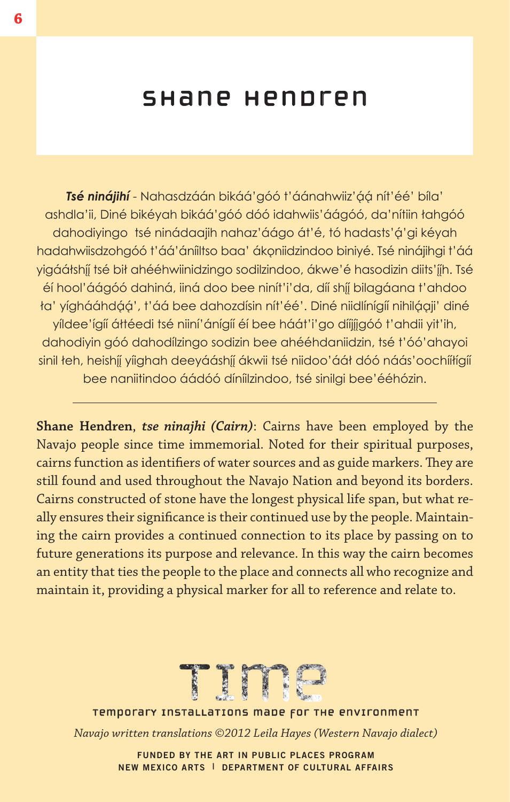### shane hendren

**Tsé ninájihí** - Nahasdzáán bikáá' góó t'áánahwiiz' áá nít' éé' bíla' ashdla'ii, Diné bikéyah bikáá'góó dóó idahwiis'áágóó, da'nítiin łahgóó dahodiyingo tsé ninádaajih nahaz'áágo át'é, tó hadasts'á'gi kéyah hadahwiisdzohgóó t'áá'áníiltso baa' ákoniidzindoo biniyé. Tsé ninájihgi t'áá vigáátshíj tsé bił ahééhwiinidzingo sodilzindoo, ákwe'é hasodizin diits'jih. Tsé éí hool'áágóó dahiná, iiná doo bee ninít'i'da, díí shíj bilagáana t'ahdoo ta' yíghááhdáá', t'áá bee dahozdísin nít'éé'. Diné niidlínígíí nihilágii' diné yíldee'ígíí áłtéedi tsé niiní'ánígíí éí bee háát'i'go díjijgóó t'ahdii yit'ih, dahodiyin góó dahodílzingo sodizin bee ahééhdaniidzin, tsé t'óó'ahayoi sinil łeh, heishíj yiighah deeyááshíj ákwii tsé niidoo'ááł dóó náás'oochíiłigií bee naniitindoo áádóó díníilzindoo, tsé sinilgi bee'ééhózin.

**Shane Hendren**, *tse ninajhi (Cairn)*: Cairns have been employed by the Navajo people since time immemorial. Noted for their spiritual purposes, cairns function as identifiers of water sources and as guide markers. They are still found and used throughout the Navajo Nation and beyond its borders. Cairns constructed of stone have the longest physical life span, but what really ensures their significance is their continued use by the people. Maintaining the cairn provides a continued connection to its place by passing on to future generations its purpose and relevance. In this way the cairn becomes an entity that ties the people to the place and connects all who recognize and maintain it, providing a physical marker for all to reference and relate to.



temporary installations made for the environment temporary installations made for the environment

*Navajo written translations ©2012 Leila Hayes (Western Navajo dialect)*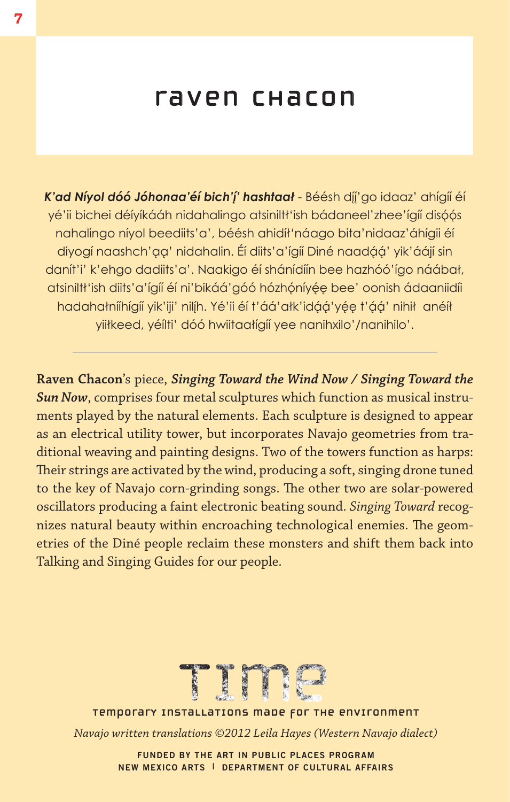# raven chacon

K'ad Níyol dóó Jóhonaa'éí bich'*j'* hashtaał - Béésh díj'go idaaz' ahígíí éí yé'ii bichei déíyíkááh nidahalingo atsiniltt'ish bádaneel'zhee'ígíí disóós nahalingo níyol beediits'a', béésh ahidíł'náago bita'nidaaz'áhígii éí diyogí naashch'aa' nidahalin. Éí diits'a'ígíí Diné naadáá' yik'áájí sin danít'i' k'ehgo dadiits'a'. Naakigo éí shánídíín bee hazhóó'ígo náábał, atsiniltt'ish diits'a'ígíí éí ni'bikáá'góó hózhóníyée bee' oonish ádaaniidíi hadahałniíhígií yik'iji' nilíh. Yé'ii éí t'áá'ałk'idáá'yée t'áá' nihił anéíł yiiłkeed, yéílti' dóó hwiitaałígíí yee nanihxilo'/nanihilo'.

**Raven Chacon**'s piece, *Singing Toward the Wind Now / Singing Toward the Sun Now*, comprises four metal sculptures which function as musical instruments played by the natural elements. Each sculpture is designed to appear as an electrical utility tower, but incorporates Navajo geometries from traditional weaving and painting designs. Two of the towers function as harps: Their strings are activated by the wind, producing a soft, singing drone tuned to the key of Navajo corn-grinding songs. The other two are solar-powered oscillators producing a faint electronic beating sound. *Singing Toward* recognizes natural beauty within encroaching technological enemies. The geometries of the Diné people reclaim these monsters and shift them back into Talking and Singing Guides for our people.



temporary installations made for the environment temporary installations made for the environment

*Navajo written translations ©2012 Leila Hayes (Western Navajo dialect)*